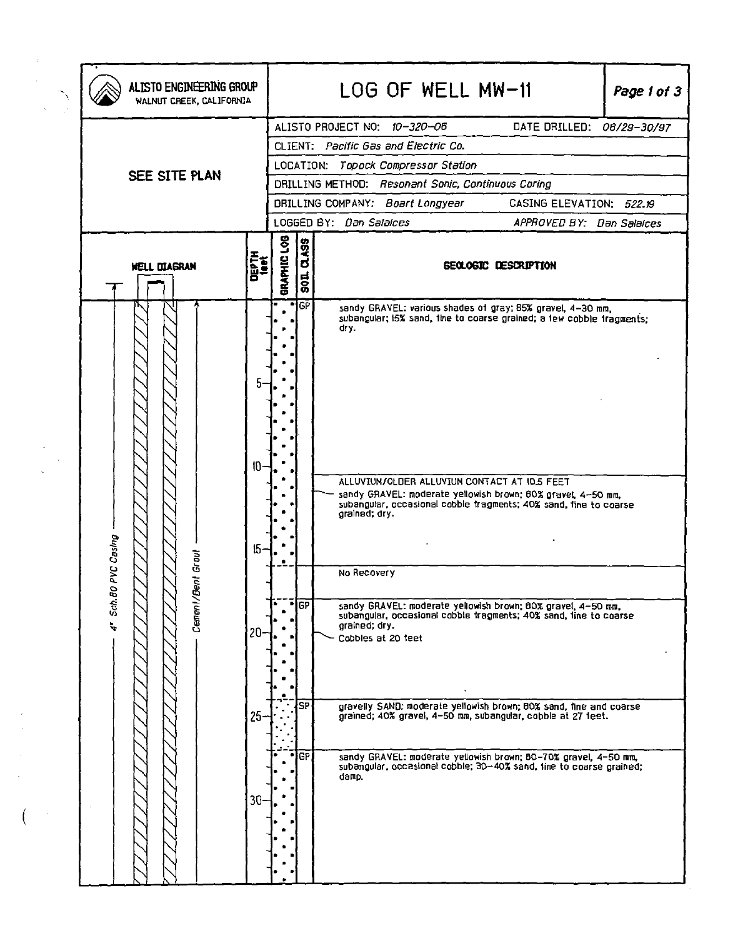| ALISTO ENGINEERING GROUP<br>WALNUT CREEK, CALIFORNIA |                       |             | LOG OF WELL MW-11<br>Page 1 of 3                                    |                                                                                                                                                                                                                                                                                       |  |  |  |  |
|------------------------------------------------------|-----------------------|-------------|---------------------------------------------------------------------|---------------------------------------------------------------------------------------------------------------------------------------------------------------------------------------------------------------------------------------------------------------------------------------|--|--|--|--|
|                                                      |                       |             |                                                                     | ALISTO PROJECT NO: 10-320-06<br>DATE DRILLED: 06/29-30/97                                                                                                                                                                                                                             |  |  |  |  |
|                                                      |                       |             | CLIENT: Pacific Gas and Electric Co.                                |                                                                                                                                                                                                                                                                                       |  |  |  |  |
|                                                      |                       |             | LOCATION: Topock Compressor Station                                 |                                                                                                                                                                                                                                                                                       |  |  |  |  |
| SEE SITE PLAN                                        |                       |             |                                                                     | DRILLING METHOD: Resonant Sonic, Continuous Coring                                                                                                                                                                                                                                    |  |  |  |  |
|                                                      |                       |             | <b>DRILLING COMPANY: Boart Longyear</b><br>CASING ELEVATION: 522.19 |                                                                                                                                                                                                                                                                                       |  |  |  |  |
|                                                      |                       |             |                                                                     | LOGGED BY: Dan Salaices<br>APPROVED BY: Dan Salaices                                                                                                                                                                                                                                  |  |  |  |  |
| <b>WELL DIAGRAN</b>                                  | <b>DEPTH</b>          | GRAPHIC LOG | <u>ဖြ</u><br>ಕ<br>$\overline{5}$                                    | GEOLOGIC DESCRIPTION                                                                                                                                                                                                                                                                  |  |  |  |  |
|                                                      | 5<br>10 <sup>10</sup> |             | " GP                                                                | sandy GRAVEL: various shades of gray; 85% gravel, 4-30 mm,<br>subangular; IS% sand, tine to coarse grained; a lew cobble tragments;<br>dry.                                                                                                                                           |  |  |  |  |
| Casing<br>ā<br>Sch.80 PVC<br>Cement/Bent Gi          | 15                    |             |                                                                     | ALLUVIUM/OLDER ALLUVIUM CONTACT AT 10.5 FEET<br>sandy GRAVEL: moderate yellowish brown; 60% gravel, 4-50 mm,<br>subangular, occasional cobble tragments; 40% sand, tine to coarse<br>grained; dry.<br>No Recovery                                                                     |  |  |  |  |
| $\ddot{\phantom{0}}$                                 | $20-$                 |             | $F_{GF}$                                                            | sandy GRAVEL: moderate yellowish brown; BOX gravel, 4-50 mm,<br>subangular, occasional cobble tragments; 40% sand, line to coarse<br>grained; dry.<br>Cobbles at 20 feet                                                                                                              |  |  |  |  |
|                                                      | $25 -$<br>$30-$       |             | l SP<br>IGP.                                                        | gravelly SAND: moderate yellowish brown; BOX sand, fine and coarse<br>grained; 40% gravel, 4-50 mm, subangular, cobble at 27 feet.<br>sandy GRAVEL: moderate yellowish brown; 80-70% gravel, 4-50 mm,<br>subangular, occasional cobble; 30-40% sand, tine to coarse grained;<br>damp. |  |  |  |  |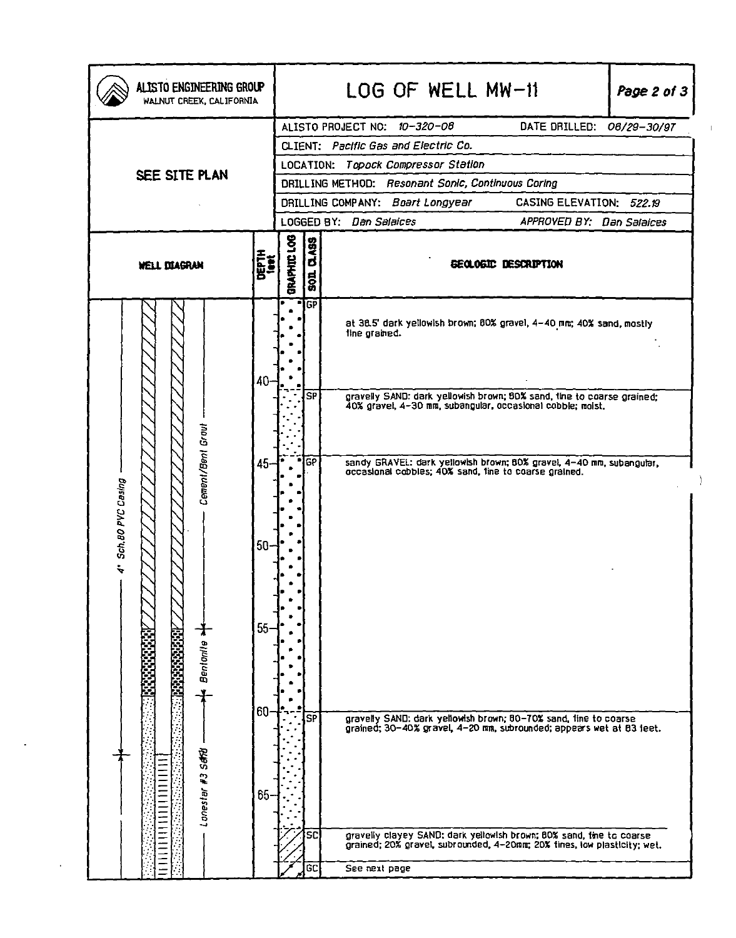| ALISTO ENGINEERING GROUP<br>WALNUT CREEK, CALIFORNIA |        | LOG OF WELL MW-11<br>Page 2 of 3                             |                                                                              |                                                                                                                                                  |  |  |  |  |  |
|------------------------------------------------------|--------|--------------------------------------------------------------|------------------------------------------------------------------------------|--------------------------------------------------------------------------------------------------------------------------------------------------|--|--|--|--|--|
|                                                      |        | ALISTO PROJECT NO: 10-320-06<br>DATE DRILLED:<br>06/29-30/97 |                                                                              |                                                                                                                                                  |  |  |  |  |  |
|                                                      |        | CLIENT: Pacific Gas and Electric Co.                         |                                                                              |                                                                                                                                                  |  |  |  |  |  |
| SEE SITE PLAN                                        |        | LOCATION: Topock Compressor Station                          |                                                                              |                                                                                                                                                  |  |  |  |  |  |
|                                                      |        | DRILLING METHOD: Resonant Sonic, Continuous Coring           |                                                                              |                                                                                                                                                  |  |  |  |  |  |
|                                                      |        |                                                              | CASING ELEVATION: 522.19<br>DRILLING COMPANY: Boart Longyear                 |                                                                                                                                                  |  |  |  |  |  |
|                                                      |        |                                                              | LOGGED BY: Dan Salaices<br>APPROVED BY: Dan Salaices                         |                                                                                                                                                  |  |  |  |  |  |
| <b>DEPTH</b><br><b>WELL DIAGRAM</b>                  |        |                                                              | GRAPHIC LOG<br><b>DLASS</b><br><b>GEOLOGIC DESCRIPTION</b><br>$\overline{5}$ |                                                                                                                                                  |  |  |  |  |  |
|                                                      | 40     | ۰                                                            | <b>GP</b>                                                                    | at 38.5' dark yellowish brown; 80% gravel, 4-40 mm; 40% sand, mostly<br>fine grained.                                                            |  |  |  |  |  |
|                                                      |        |                                                              | SP                                                                           | gravelly SAND: dark yellowish brown; 80% sand, tine to coarse grained;<br>40% gravel, 4-30 mm, subangular, occasional cobble; moist,             |  |  |  |  |  |
| Cement/Bent Grout                                    | $45 -$ |                                                              | GP                                                                           | sandy GRAVEL: dark yellowish brown; 80% gravel, 4-40 mm, subangular,<br>occasional cobbles; 40% sand, tine to coarse grained.                    |  |  |  |  |  |
| 4" Sch.80 PVC Casing                                 | $50-$  |                                                              |                                                                              |                                                                                                                                                  |  |  |  |  |  |
| Bentonile *                                          | $55-$  |                                                              |                                                                              |                                                                                                                                                  |  |  |  |  |  |
|                                                      | 60·    |                                                              | $\overline{\mathsf{SP}}$                                                     | gravelly SAND: dark yellowish brown; 80-70% sand, fine to coarse<br>grained; 30-40% gravel, 4-20 mm, subrounded; appears wet at 83 feet.         |  |  |  |  |  |
| Lonestar #3 Seffa                                    | 65.    |                                                              | SC                                                                           | gravelly clayey SAND: dark yellowish brown; BOX sand, tine to coarse<br>grained; 20% gravet, subrounded, 4-20mm; 20% tines, low plasticity; wet. |  |  |  |  |  |
|                                                      |        |                                                              | GC                                                                           | See next page                                                                                                                                    |  |  |  |  |  |

 $\ddot{\phantom{a}}$ 

 $\bar{z}$ 

 $\mathbf{r}$